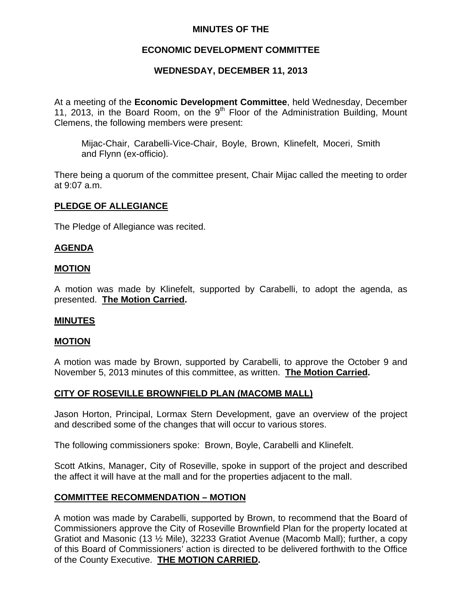## **MINUTES OF THE**

# **ECONOMIC DEVELOPMENT COMMITTEE**

# **WEDNESDAY, DECEMBER 11, 2013**

At a meeting of the **Economic Development Committee**, held Wednesday, December 11, 2013, in the Board Room, on the  $9<sup>th</sup>$  Floor of the Administration Building, Mount Clemens, the following members were present:

Mijac-Chair, Carabelli-Vice-Chair, Boyle, Brown, Klinefelt, Moceri, Smith and Flynn (ex-officio).

There being a quorum of the committee present, Chair Mijac called the meeting to order at 9:07 a.m.

### **PLEDGE OF ALLEGIANCE**

The Pledge of Allegiance was recited.

### **AGENDA**

### **MOTION**

A motion was made by Klinefelt, supported by Carabelli, to adopt the agenda, as presented. **The Motion Carried.** 

#### **MINUTES**

#### **MOTION**

A motion was made by Brown, supported by Carabelli, to approve the October 9 and November 5, 2013 minutes of this committee, as written. **The Motion Carried.** 

## **CITY OF ROSEVILLE BROWNFIELD PLAN (MACOMB MALL)**

Jason Horton, Principal, Lormax Stern Development, gave an overview of the project and described some of the changes that will occur to various stores.

The following commissioners spoke: Brown, Boyle, Carabelli and Klinefelt.

Scott Atkins, Manager, City of Roseville, spoke in support of the project and described the affect it will have at the mall and for the properties adjacent to the mall.

## **COMMITTEE RECOMMENDATION – MOTION**

A motion was made by Carabelli, supported by Brown, to recommend that the Board of Commissioners approve the City of Roseville Brownfield Plan for the property located at Gratiot and Masonic (13 ½ Mile), 32233 Gratiot Avenue (Macomb Mall); further, a copy of this Board of Commissioners' action is directed to be delivered forthwith to the Office of the County Executive. **THE MOTION CARRIED.**